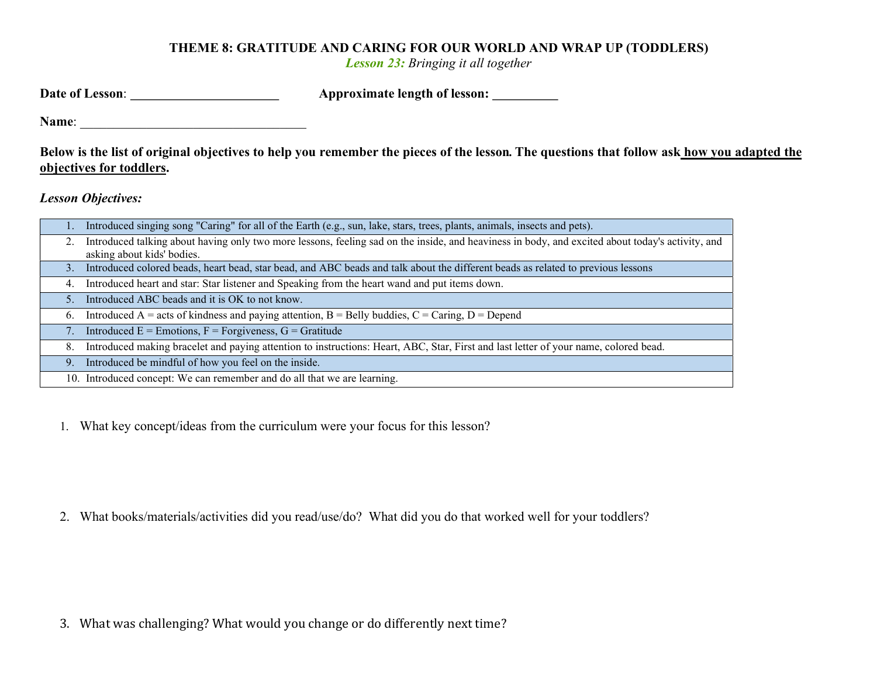## THEME 8: GRATITUDE AND CARING FOR OUR WORLD AND WRAP UP (TODDLERS)

Lesson 23: Bringing it all together

| Date of Lesson: | <b>Approximate length of lesson:</b> |  |
|-----------------|--------------------------------------|--|
|                 |                                      |  |

Name:

Below is the list of original objectives to help you remember the pieces of the lesson. The questions that follow ask how you adapted the objectives for toddlers.

Lesson Objectives:

| 1. | Introduced singing song "Caring" for all of the Earth (e.g., sun, lake, stars, trees, plants, animals, insects and pets).                                                      |
|----|--------------------------------------------------------------------------------------------------------------------------------------------------------------------------------|
|    | Introduced talking about having only two more lessons, feeling sad on the inside, and heaviness in body, and excited about today's activity, and<br>asking about kids' bodies. |
| 3. | Introduced colored beads, heart bead, star bead, and ABC beads and talk about the different beads as related to previous lessons                                               |
| 4. | Introduced heart and star: Star listener and Speaking from the heart wand and put items down.                                                                                  |
| 5. | Introduced ABC beads and it is OK to not know.                                                                                                                                 |
| 6. | Introduced A = acts of kindness and paying attention, $B =$ Belly buddies, $C =$ Caring, $D =$ Depend                                                                          |
|    | Introduced $E =$ Emotions, $F =$ Forgiveness, $G =$ Gratitude                                                                                                                  |
| 8. | Introduced making bracelet and paying attention to instructions: Heart, ABC, Star, First and last letter of your name, colored bead.                                           |
| 9. | Introduced be mindful of how you feel on the inside.                                                                                                                           |
|    | 10. Introduced concept: We can remember and do all that we are learning.                                                                                                       |
|    |                                                                                                                                                                                |

1. What key concept/ideas from the curriculum were your focus for this lesson?

2. What books/materials/activities did you read/use/do? What did you do that worked well for your toddlers?

3. What was challenging? What would you change or do differently next time?